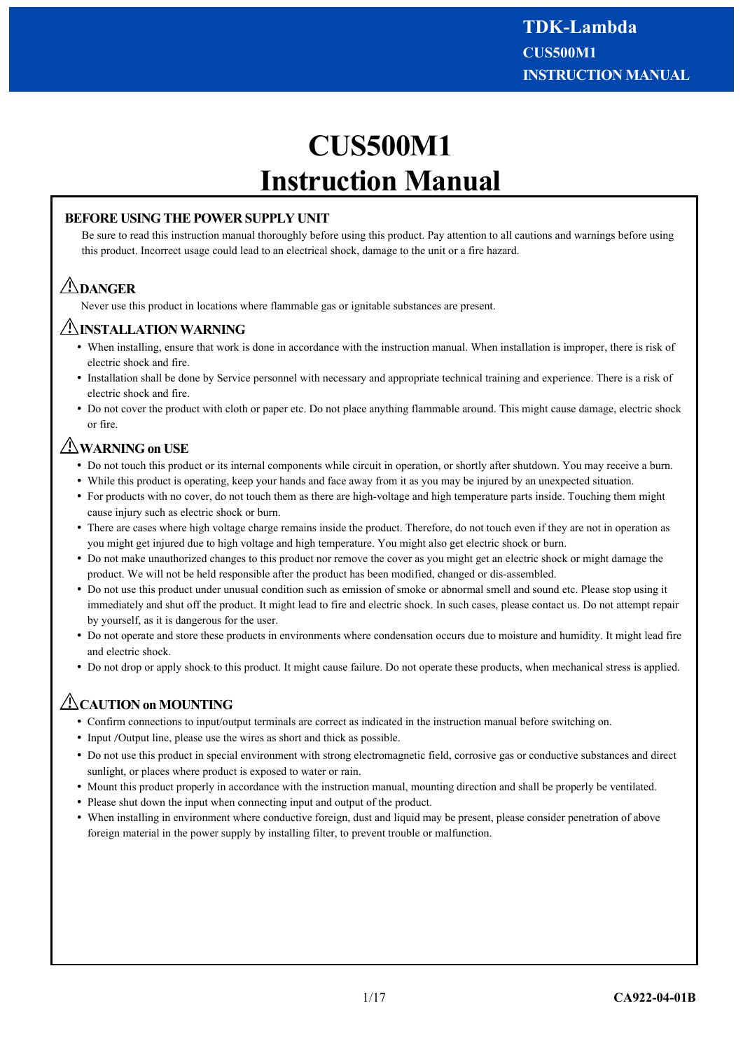# **CUS500M1 Instruction Manual**

# **BEFORE USING THE POWER SUPPLY UNIT**

Be sure to read this instruction manual thoroughly before using this product. Pay attention to all cautions and warnings before using this product. Incorrect usage could lead to an electrical shock, damage to the unit or a fire hazard.

# **DANGER**

Never use this product in locations where flammable gas or ignitable substances are present.

# **INSTALLATION WARNING**

- When installing, ensure that work is done in accordance with the instruction manual. When installation is improper, there is risk of electric shock and fire.
- Installation shall be done by Service personnel with necessary and appropriate technical training and experience. There is a risk of electric shock and fire.
- Do not cover the product with cloth or paper etc. Do not place anything flammable around. This might cause damage, electric shock or fire.

# **WARNING on USE**

- Do not touch this product or its internal components while circuit in operation, or shortly after shutdown. You may receive a burn.
- While this product is operating, keep your hands and face away from it as you may be injured by an unexpected situation.
- For products with no cover, do not touch them as there are high-voltage and high temperature parts inside. Touching them might cause injury such as electric shock or burn.
- There are cases where high voltage charge remains inside the product. Therefore, do not touch even if they are not in operation as you might get injured due to high voltage and high temperature. You might also get electric shock or burn.
- Do not make unauthorized changes to this product nor remove the cover as you might get an electric shock or might damage the product. We will not be held responsible after the product has been modified, changed or dis-assembled.
- Do not use this product under unusual condition such as emission of smoke or abnormal smell and sound etc. Please stop using it immediately and shut off the product. It might lead to fire and electric shock. In such cases, please contact us. Do not attempt repair by yourself, as it is dangerous for the user.
- Do not operate and store these products in environments where condensation occurs due to moisture and humidity. It might lead fire and electric shock.
- Do not drop or apply shock to this product. It might cause failure. Do not operate these products, when mechanical stress is applied.

# **CAUTION on MOUNTING**

- Confirm connections to input/output terminals are correct as indicated in the instruction manual before switching on.
- Input /Output line, please use the wires as short and thick as possible.
- Do not use this product in special environment with strong electromagnetic field, corrosive gas or conductive substances and direct sunlight, or places where product is exposed to water or rain.
- Mount this product properly in accordance with the instruction manual, mounting direction and shall be properly be ventilated.
- Please shut down the input when connecting input and output of the product.
- When installing in environment where conductive foreign, dust and liquid may be present, please consider penetration of above foreign material in the power supply by installing filter, to prevent trouble or malfunction.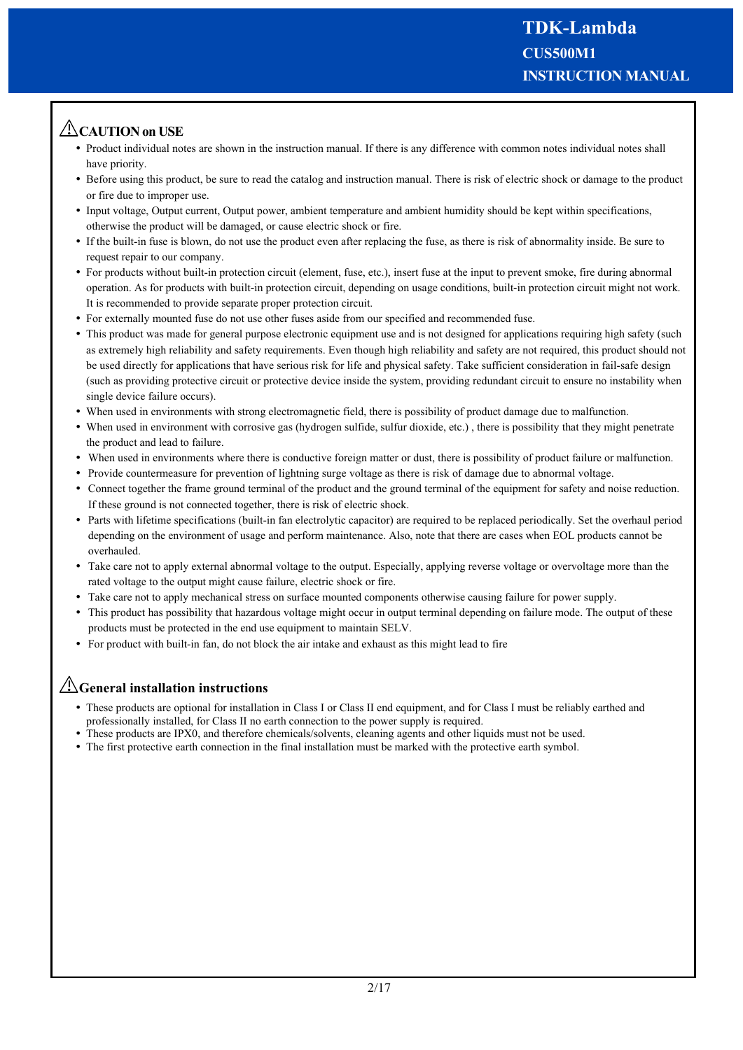# **CAUTION on USE**

- Product individual notes are shown in the instruction manual. If there is any difference with common notes individual notes shall have priority.
- Before using this product, be sure to read the catalog and instruction manual. There is risk of electric shock or damage to the product or fire due to improper use.
- Input voltage, Output current, Output power, ambient temperature and ambient humidity should be kept within specifications, otherwise the product will be damaged, or cause electric shock or fire.
- If the built-in fuse is blown, do not use the product even after replacing the fuse, as there is risk of abnormality inside. Be sure to request repair to our company.
- For products without built-in protection circuit (element, fuse, etc.), insert fuse at the input to prevent smoke, fire during abnormal operation. As for products with built-in protection circuit, depending on usage conditions, built-in protection circuit might not work. It is recommended to provide separate proper protection circuit.
- For externally mounted fuse do not use other fuses aside from our specified and recommended fuse.
- This product was made for general purpose electronic equipment use and is not designed for applications requiring high safety (such as extremely high reliability and safety requirements. Even though high reliability and safety are not required, this product should not be used directly for applications that have serious risk for life and physical safety. Take sufficient consideration in fail-safe design (such as providing protective circuit or protective device inside the system, providing redundant circuit to ensure no instability when single device failure occurs).
- When used in environments with strong electromagnetic field, there is possibility of product damage due to malfunction.
- When used in environment with corrosive gas (hydrogen sulfide, sulfur dioxide, etc.), there is possibility that they might penetrate the product and lead to failure.
- When used in environments where there is conductive foreign matter or dust, there is possibility of product failure or malfunction.
- Provide countermeasure for prevention of lightning surge voltage as there is risk of damage due to abnormal voltage.
- Connect together the frame ground terminal of the product and the ground terminal of the equipment for safety and noise reduction. If these ground is not connected together, there is risk of electric shock.
- Parts with lifetime specifications (built-in fan electrolytic capacitor) are required to be replaced periodically. Set the overhaul period depending on the environment of usage and perform maintenance. Also, note that there are cases when EOL products cannot be overhauled.
- Take care not to apply external abnormal voltage to the output. Especially, applying reverse voltage or overvoltage more than the rated voltage to the output might cause failure, electric shock or fire.
- Take care not to apply mechanical stress on surface mounted components otherwise causing failure for power supply.
- This product has possibility that hazardous voltage might occur in output terminal depending on failure mode. The output of these products must be protected in the end use equipment to maintain SELV.
- For product with built-in fan, do not block the air intake and exhaust as this might lead to fire

# **General installation instructions**

- These products are optional for installation in Class I or Class II end equipment, and for Class I must be reliably earthed and professionally installed, for Class II no earth connection to the power supply is required.
- These products are IPX0, and therefore chemicals/solvents, cleaning agents and other liquids must not be used.
- The first protective earth connection in the final installation must be marked with the protective earth symbol.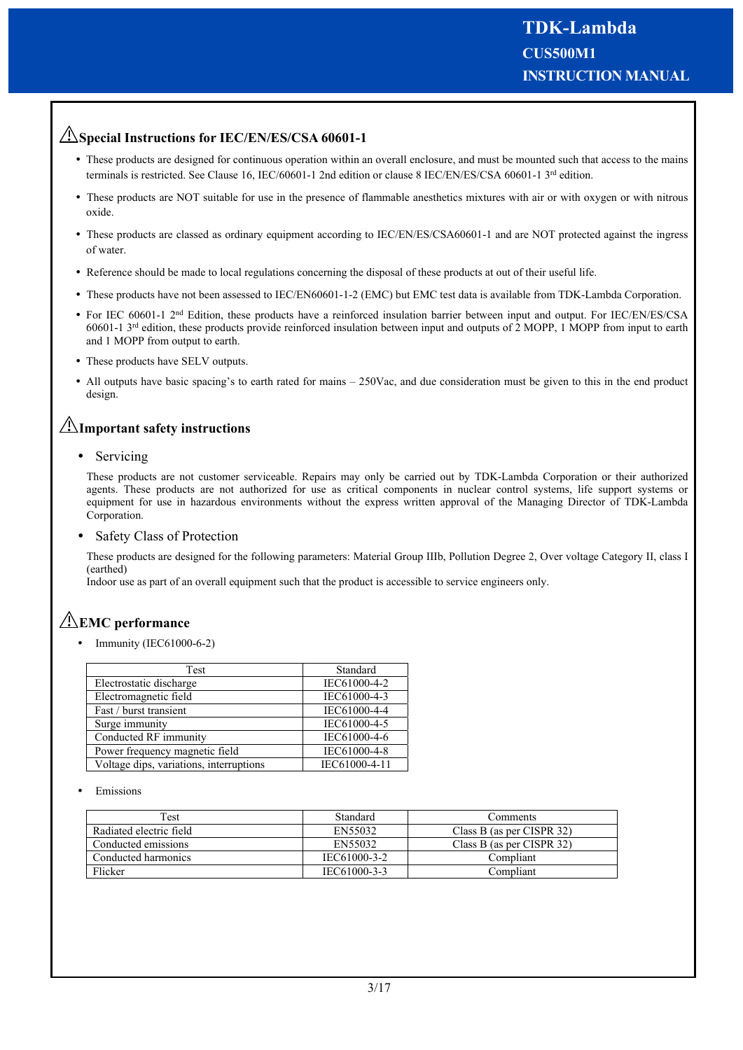# **Special Instructions for IEC/EN/ES/CSA 60601-1**

- These products are designed for continuous operation within an overall enclosure, and must be mounted such that access to the mains terminals is restricted. See Clause 16, IEC/60601-1 2nd edition or clause 8 IEC/EN/ES/CSA 60601-1 3<sup>rd</sup> edition.
- These products are NOT suitable for use in the presence of flammable anesthetics mixtures with air or with oxygen or with nitrous oxide.
- These products are classed as ordinary equipment according to IEC/EN/ES/CSA60601-1 and are NOT protected against the ingress of water.
- Reference should be made to local regulations concerning the disposal of these products at out of their useful life.
- These products have not been assessed to IEC/EN60601-1-2 (EMC) but EMC test data is available from TDK-Lambda Corporation.
- For IEC 60601-1 2<sup>nd</sup> Edition, these products have a reinforced insulation barrier between input and output. For IEC/EN/ES/CSA 60601-1 3rd edition, these products provide reinforced insulation between input and outputs of 2 MOPP, 1 MOPP from input to earth and 1 MOPP from output to earth.
- These products have SELV outputs.
- All outputs have basic spacing's to earth rated for mains 250Vac, and due consideration must be given to this in the end product design.

# **Important safety instructions**

• Servicing

These products are not customer serviceable. Repairs may only be carried out by TDK-Lambda Corporation or their authorized agents. These products are not authorized for use as critical components in nuclear control systems, life support systems or equipment for use in hazardous environments without the express written approval of the Managing Director of TDK-Lambda Corporation.

Safety Class of Protection

These products are designed for the following parameters: Material Group IIIb, Pollution Degree 2, Over voltage Category II, class I (earthed)

Indoor use as part of an overall equipment such that the product is accessible to service engineers only.

# **EMC performance**

Immunity (IEC61000-6-2)

| Test                                    | Standard      |
|-----------------------------------------|---------------|
| Electrostatic discharge                 | IEC61000-4-2  |
| Electromagnetic field                   | IEC61000-4-3  |
| Fast / burst transient                  | IEC61000-4-4  |
| Surge immunity                          | IEC61000-4-5  |
| Conducted RF immunity                   | IEC61000-4-6  |
| Power frequency magnetic field          | IEC61000-4-8  |
| Voltage dips, variations, interruptions | IEC61000-4-11 |

Emissions

| Test                    | Standard     | <b>Comments</b>           |
|-------------------------|--------------|---------------------------|
| Radiated electric field | EN55032      | Class B (as per CISPR 32) |
| Conducted emissions     | EN55032      | Class B (as per CISPR 32) |
| Conducted harmonics     | IEC61000-3-2 | Compliant                 |
| Flicker                 | IEC61000-3-3 | Compliant                 |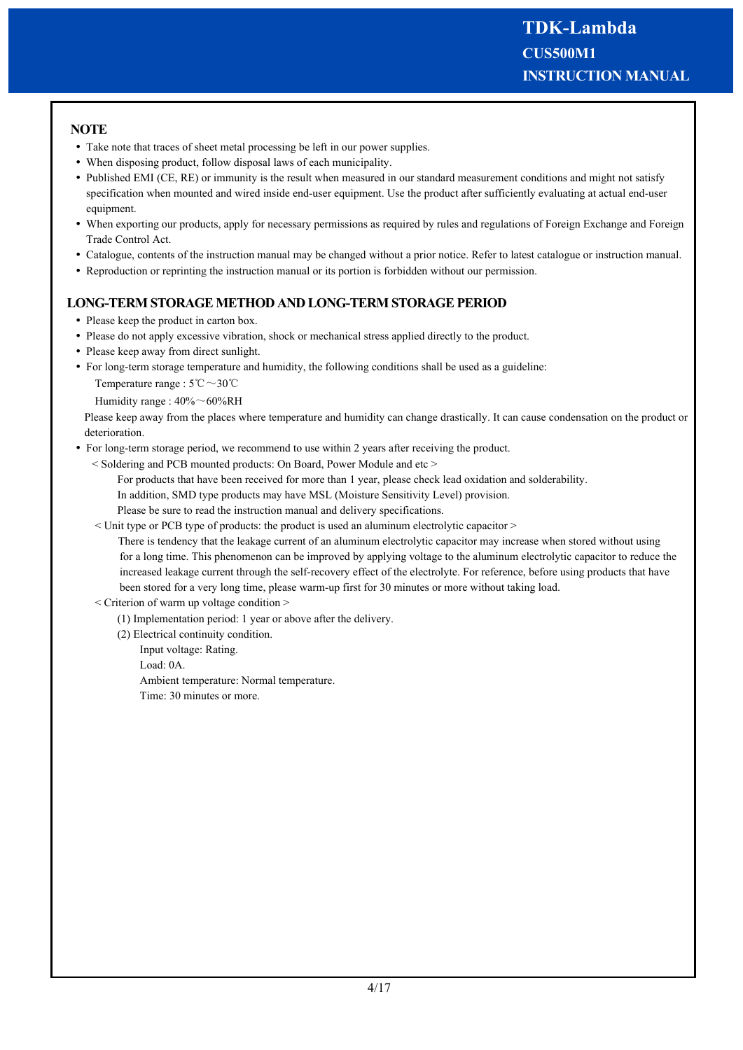# **NOTE**

- Take note that traces of sheet metal processing be left in our power supplies.
- When disposing product, follow disposal laws of each municipality.
- Published EMI (CE, RE) or immunity is the result when measured in our standard measurement conditions and might not satisfy specification when mounted and wired inside end-user equipment. Use the product after sufficiently evaluating at actual end-user equipment.
- When exporting our products, apply for necessary permissions as required by rules and regulations of Foreign Exchange and Foreign Trade Control Act.
- Catalogue, contents of the instruction manual may be changed without a prior notice. Refer to latest catalogue or instruction manual.
- Reproduction or reprinting the instruction manual or its portion is forbidden without our permission.

# **LONG-TERM STORAGE METHOD AND LONG-TERM STORAGE PERIOD**

- Please keep the product in carton box.
- Please do not apply excessive vibration, shock or mechanical stress applied directly to the product.
- Please keep away from direct sunlight.
- For long-term storage temperature and humidity, the following conditions shall be used as a guideline: Temperature range : 5℃~30℃

Humidity range : 40%~60%RH

Please keep away from the places where temperature and humidity can change drastically. It can cause condensation on the product or deterioration.

- For long-term storage period, we recommend to use within 2 years after receiving the product.
	- < Soldering and PCB mounted products: On Board, Power Module and etc >

For products that have been received for more than 1 year, please check lead oxidation and solderability.

In addition, SMD type products may have MSL (Moisture Sensitivity Level) provision.

Please be sure to read the instruction manual and delivery specifications.

< Unit type or PCB type of products: the product is used an aluminum electrolytic capacitor >

 There is tendency that the leakage current of an aluminum electrolytic capacitor may increase when stored without using for a long time. This phenomenon can be improved by applying voltage to the aluminum electrolytic capacitor to reduce the increased leakage current through the self-recovery effect of the electrolyte. For reference, before using products that have been stored for a very long time, please warm-up first for 30 minutes or more without taking load.

- < Criterion of warm up voltage condition >
	- (1) Implementation period: 1 year or above after the delivery.

(2) Electrical continuity condition.

Input voltage: Rating.

Load: 0A.

Ambient temperature: Normal temperature.

Time: 30 minutes or more.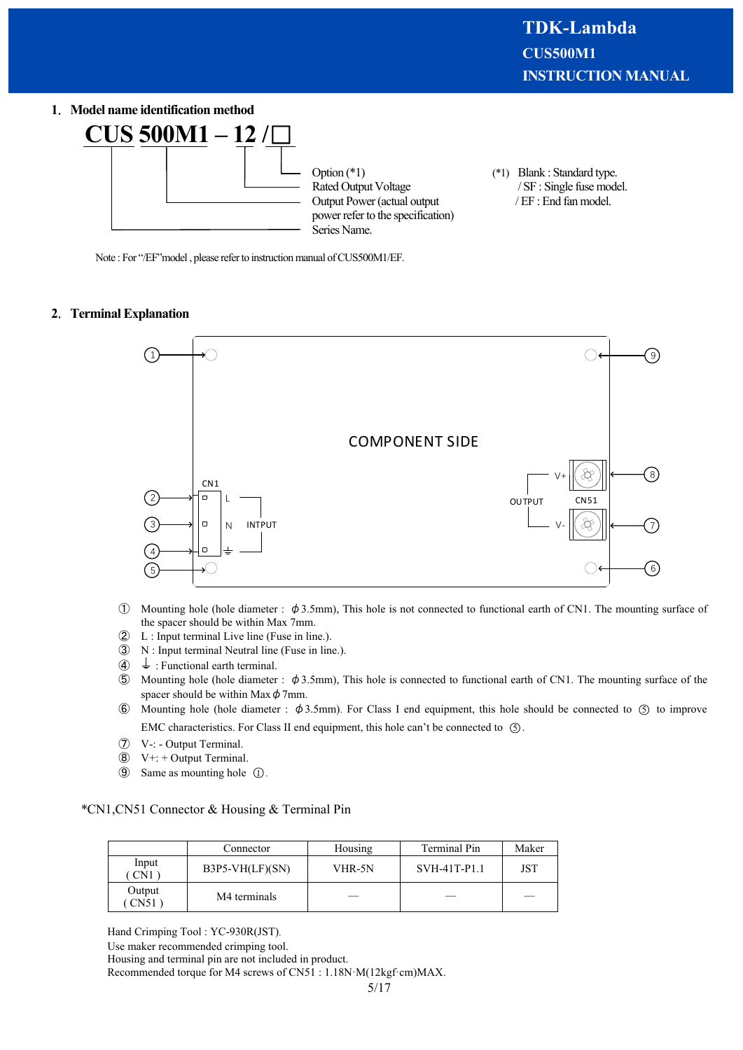### **1**.**Model name identification method**



Note : For "/EF" model, please refer to instruction manual of CUS500M1/EF.

#### **2**.**Terminal Explanation**



- ① Mounting hole (hole diameter : φ3.5mm), This hole is not connected to functional earth of CN1. The mounting surface of the spacer should be within Max 7mm.
- $\begin{array}{ll} \textcircled{2} & L : \text{Input terminal Live line (Fuse in line).} \\ \textcircled{3} & N : \text{Input terminal Neutral line (Fuse in lin)} \end{array}$
- N : Input terminal Neutral line (Fuse in line.).
- $\overline{4}$  : Functional earth terminal.
- ⑤ Mounting hole (hole diameter : φ3.5mm), This hole is connected to functional earth of CN1. The mounting surface of the spacer should be within Max  $\phi$  7mm.
- $\circled{6}$  Mounting hole (hole diameter :  $\phi$ 3.5mm). For Class I end equipment, this hole should be connected to  $\circled{5}$  to improve EMC characteristics. For Class II end equipment, this hole can't be connected to  $\circ$ .
- ⑦ V-: Output Terminal.
- ⑧ V+: + Output Terminal.
- **⑨** Same as mounting hole ①.

#### \*CN1,CN51 Connector & Housing & Terminal Pin

|                | Connector         | Housing | Terminal Pin | Maker |
|----------------|-------------------|---------|--------------|-------|
| Input<br>CN1   | $B3P5-VH(LF)(SN)$ | VHR-5N  | SVH-41T-P1.1 | JST   |
| Output<br>CN51 | M4 terminals      |         |              |       |

Hand Crimping Tool : YC-930R(JST).

Housing and terminal pin are not included in product.

Recommended torque for M4 screws of CN51 : 1.18N·M(12kgf·cm)MAX.

Use maker recommended crimping tool.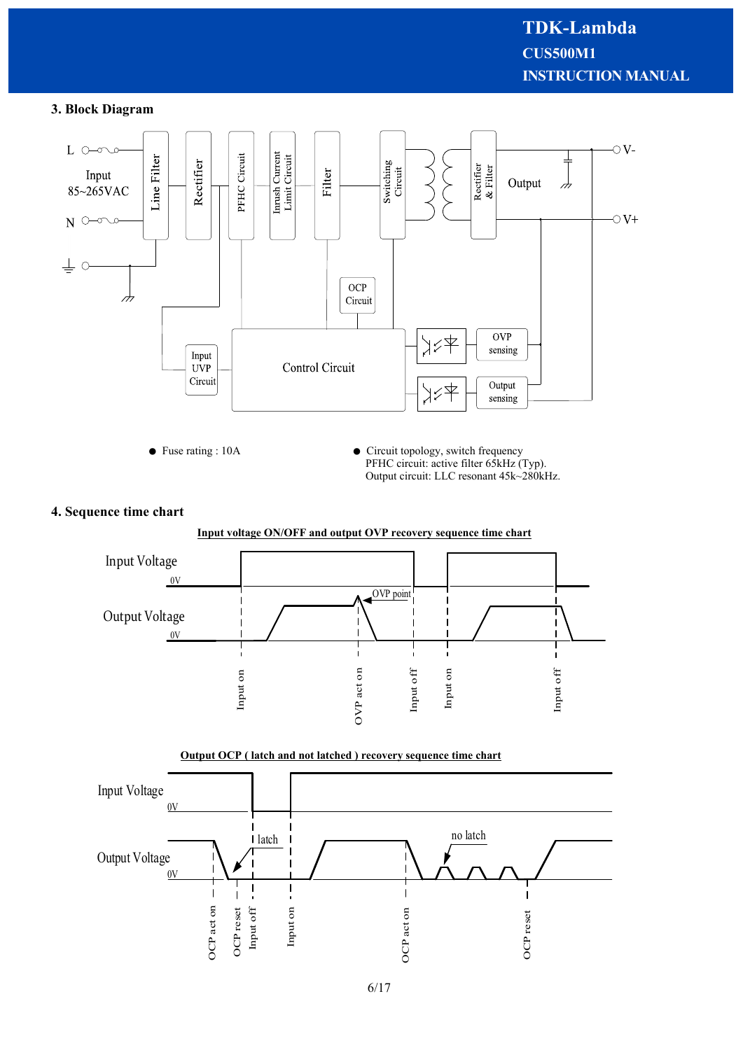# **3. Block Diagram**



### **4. Sequence time chart**



#### **Output OCP ( latch and not latched ) recovery sequence time chart**

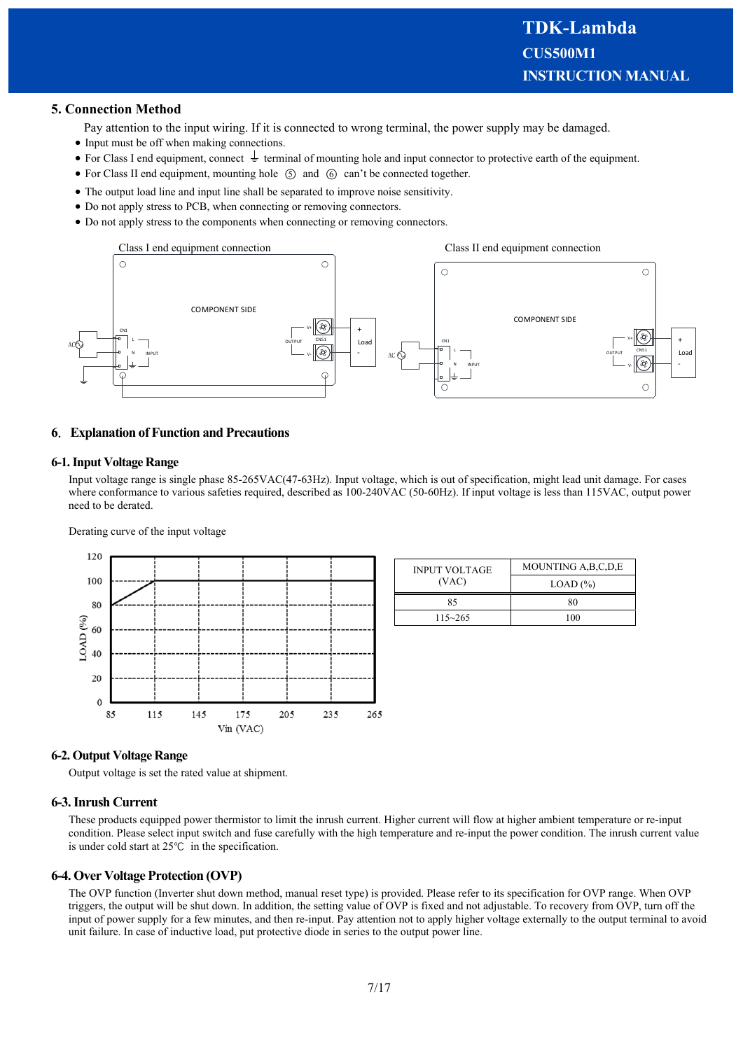### **5. Connection Method**

- Pay attention to the input wiring. If it is connected to wrong terminal, the power supply may be damaged.
- Input must be off when making connections.
- For Class I end equipment, connect  $\frac{1}{\epsilon}$  terminal of mounting hole and input connector to protective earth of the equipment.
- For Class II end equipment, mounting hole  $(5)$  and  $(6)$  can't be connected together.
- The output load line and input line shall be separated to improve noise sensitivity.
- Do not apply stress to PCB, when connecting or removing connectors.
- Do not apply stress to the components when connecting or removing connectors.



### **6**.**Explanation of Function and Precautions**

#### **6-1. Input Voltage Range**

Input voltage range is single phase 85-265VAC(47-63Hz). Input voltage, which is out of specification, might lead unit damage. For cases where conformance to various safeties required, described as 100-240VAC (50-60Hz). If input voltage is less than 115VAC, output power need to be derated.

Derating curve of the input voltage



| <b>INPUT VOLTAGE</b> | MOUNTING A, B, C, D, E |  |
|----------------------|------------------------|--|
| (VAC)                | LOAD (%)               |  |
| 85                   | 80                     |  |
| $115 - 265$          | 100                    |  |

#### **6-2. Output Voltage Range**

Output voltage is set the rated value at shipment.

#### **6-3. Inrush Current**

These products equipped power thermistor to limit the inrush current. Higher current will flow at higher ambient temperature or re-input condition. Please select input switch and fuse carefully with the high temperature and re-input the power condition. The inrush current value is under cold start at 25℃ in the specification.

#### **6-4. Over Voltage Protection (OVP)**

The OVP function (Inverter shut down method, manual reset type) is provided. Please refer to its specification for OVP range. When OVP triggers, the output will be shut down. In addition, the setting value of OVP is fixed and not adjustable. To recovery from OVP, turn off the input of power supply for a few minutes, and then re-input. Pay attention not to apply higher voltage externally to the output terminal to avoid unit failure. In case of inductive load, put protective diode in series to the output power line.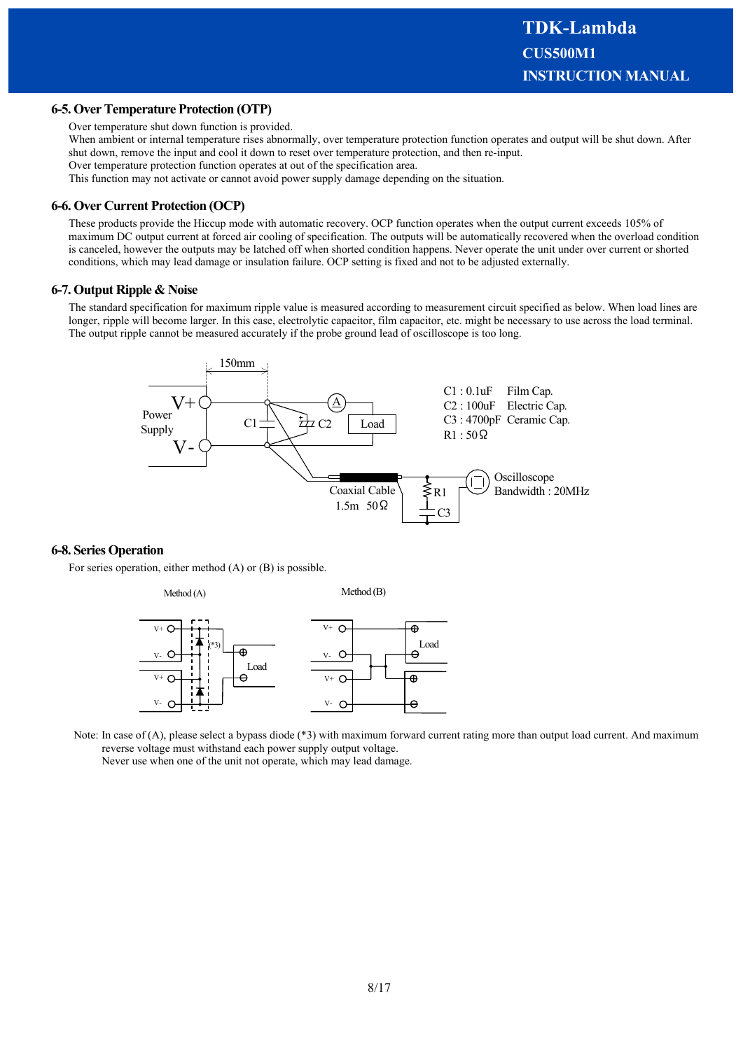#### **6-5. Over Temperature Protection (OTP)**

Over temperature shut down function is provided.

When ambient or internal temperature rises abnormally, over temperature protection function operates and output will be shut down. After shut down, remove the input and cool it down to reset over temperature protection, and then re-input.

Over temperature protection function operates at out of the specification area.

This function may not activate or cannot avoid power supply damage depending on the situation.

#### **6-6. Over Current Protection (OCP)**

These products provide the Hiccup mode with automatic recovery. OCP function operates when the output current exceeds 105% of maximum DC output current at forced air cooling of specification. The outputs will be automatically recovered when the overload condition is canceled, however the outputs may be latched off when shorted condition happens. Never operate the unit under over current or shorted conditions, which may lead damage or insulation failure. OCP setting is fixed and not to be adjusted externally.

#### **6-7. Output Ripple & Noise**

The standard specification for maximum ripple value is measured according to measurement circuit specified as below. When load lines are longer, ripple will become larger. In this case, electrolytic capacitor, film capacitor, etc. might be necessary to use across the load terminal. The output ripple cannot be measured accurately if the probe ground lead of oscilloscope is too long.



#### **6-8. Series Operation**

For series operation, either method (A) or (B) is possible.



Note: In case of (A), please select a bypass diode (\*3) with maximum forward current rating more than output load current. And maximum reverse voltage must withstand each power supply output voltage.

Never use when one of the unit not operate, which may lead damage.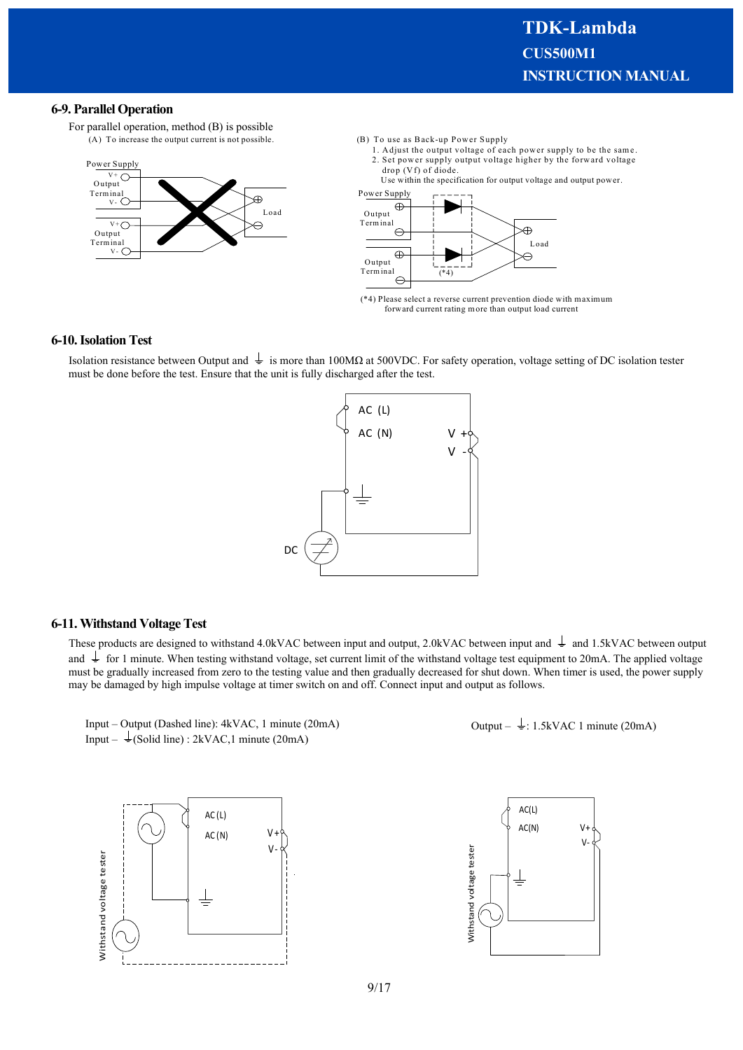#### **6-9. Parallel Operation**

For parallel operation, method (B) is possible (A) To increase the output current is not possible.



- (B) To use as Back-up Power Supply
	- 1. Adjust the output voltage of each power supply to be the same. 2. Set power supply output voltage higher by the forward voltage drop (Vf) of diode.

Use within the specification for output voltage and output power.



(\*4) Please select a reverse current prevention diode with maximum forward current rating more than output load current

#### **6-10. Isolation Test**

Isolation resistance between Output and  $\frac{1}{\epsilon}$  is more than 100MΩ at 500VDC. For safety operation, voltage setting of DC isolation tester must be done before the test. Ensure that the unit is fully discharged after the test.



#### **6-11. Withstand Voltage Test**

These products are designed to withstand 4.0kVAC between input and output, 2.0kVAC between input and  $\frac{1}{\epsilon}$  and 1.5kVAC between output and  $\perp$  for 1 minute. When testing withstand voltage, set current limit of the withstand voltage test equipment to 20mA. The applied voltage must be gradually increased from zero to the testing value and then gradually decreased for shut down. When timer is used, the power supply may be damaged by high impulse voltage at timer switch on and off. Connect input and output as follows.



Input – Output (Dashed line): 4kVAC, 1 minute (20mA) Input –  $\frac{1}{2}$ (Solid line) : 2kVAC,1 minute (20mA)



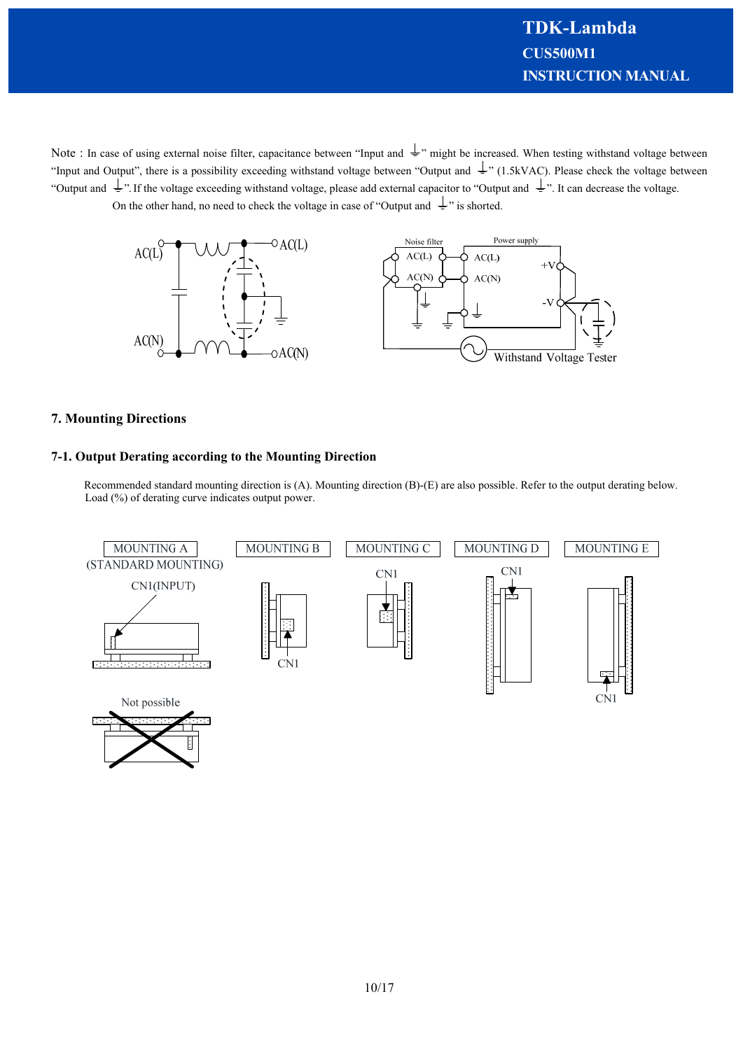Note : In case of using external noise filter, capacitance between "Input and  $\frac{1}{n}$ " might be increased. When testing withstand voltage between "Input and Output", there is a possibility exceeding withstand voltage between "Output and  $\frac{1}{n}$ " (1.5kVAC). Please check the voltage between "Output and  $\frac{1}{x}$ ". If the voltage exceeding withstand voltage, please add external capacitor to "Output and  $\frac{1}{x}$ ". It can decrease the voltage. On the other hand, no need to check the voltage in case of "Output and  $\frac{1}{x}$ " is shorted.



## **7. Mounting Directions**

### **7-1. Output Derating according to the Mounting Direction**

Recommended standard mounting direction is (A). Mounting direction (B)-(E) are also possible. Refer to the output derating below. Load (%) of derating curve indicates output power.

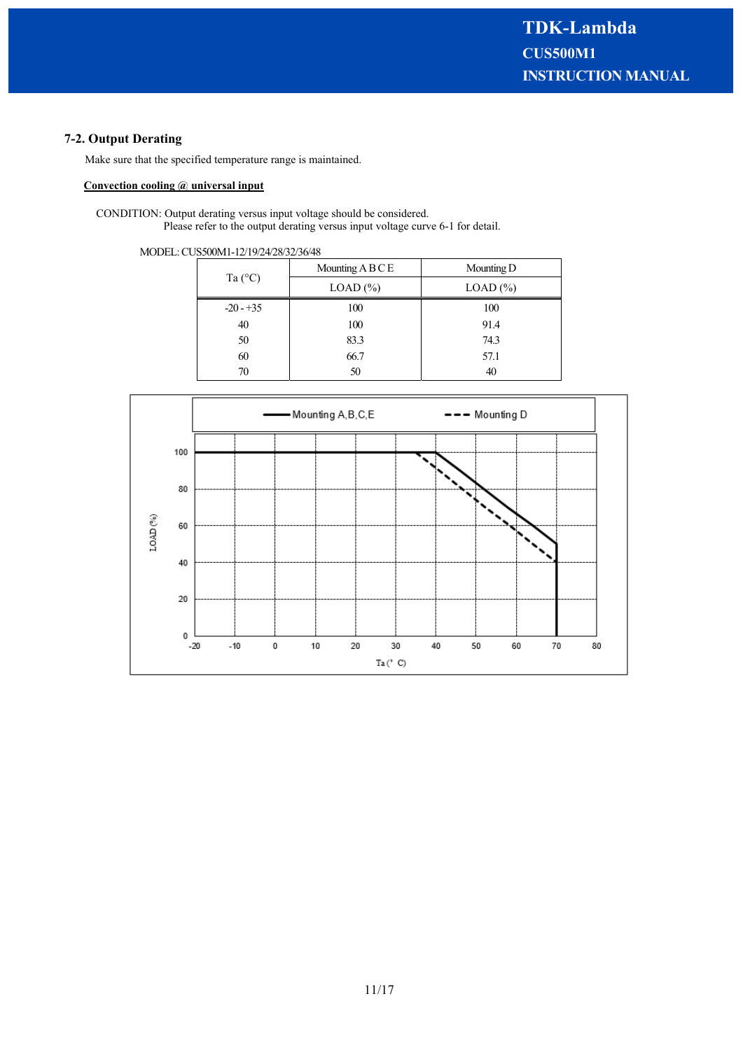# **7-2. Output Derating**

Make sure that the specified temperature range is maintained.

# **Convection cooling @ universal input**

CONDITION: Output derating versus input voltage should be considered. Please refer to the output derating versus input voltage curve 6-1 for detail.

MODEL: CUS500M1-12/19/24/28/32/36/48

|                  | Mounting $A B C E$ | Mounting D    |  |
|------------------|--------------------|---------------|--|
| Ta $(^{\circ}C)$ | $LOAD$ $(\%)$      | $LOAD$ $(\%)$ |  |
| $-20 - 35$       | 100                | 100           |  |
| 40               | 100                | 91.4          |  |
| 50               | 83.3               | 74.3          |  |
| 60               | 66.7               | 57.1          |  |
| 70               | 50                 | 40            |  |

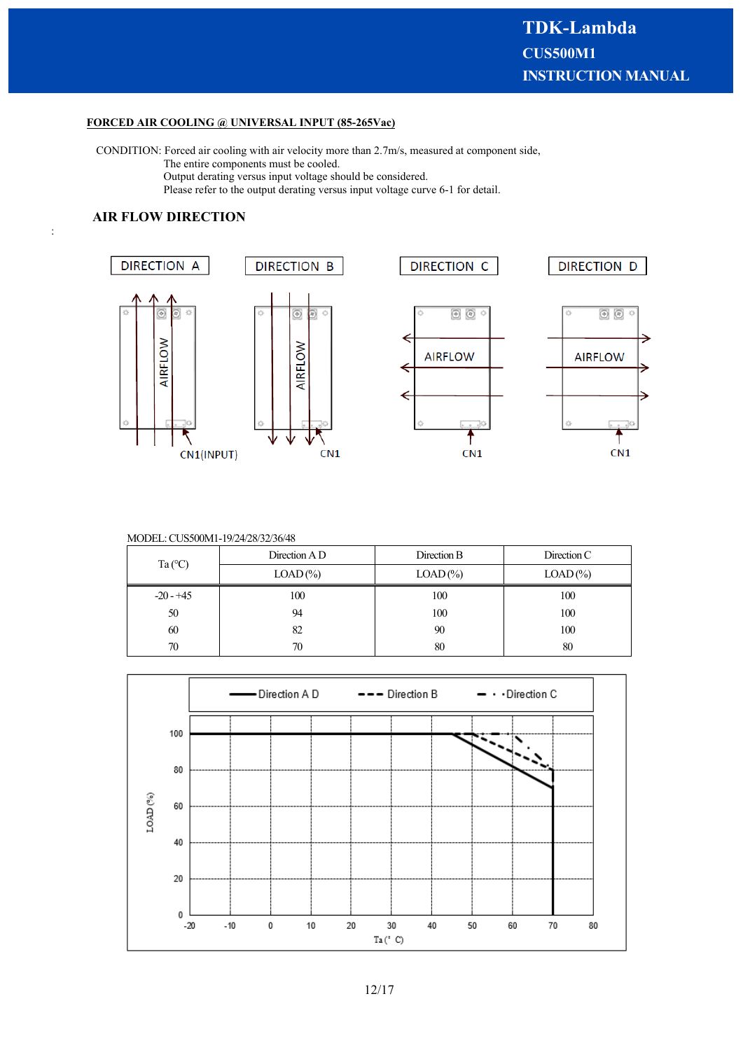## **FORCED AIR COOLING @ UNIVERSAL INPUT (85-265Vac)**

CONDITION: Forced air cooling with air velocity more than 2.7m/s, measured at component side, The entire components must be cooled. Output derating versus input voltage should be considered.

Please refer to the output derating versus input voltage curve 6-1 for detail.

# **AIR FLOW DIRECTION**

:



#### MODEL: CUS500M1-19/24/28/32/36/48

|                  | Direction A D | Direction B | Direction C |
|------------------|---------------|-------------|-------------|
| Ta $(^{\circ}C)$ | $LOAD$ (%)    | $LOAD$ (%)  | $LOAD$ (%)  |
| $-20 - 45$       | 100           | 100         | 100         |
| 50               | 94            | 100         | 100         |
| 60               | 82            | 90          | 100         |
| 70               | 70            | 80          | 80          |

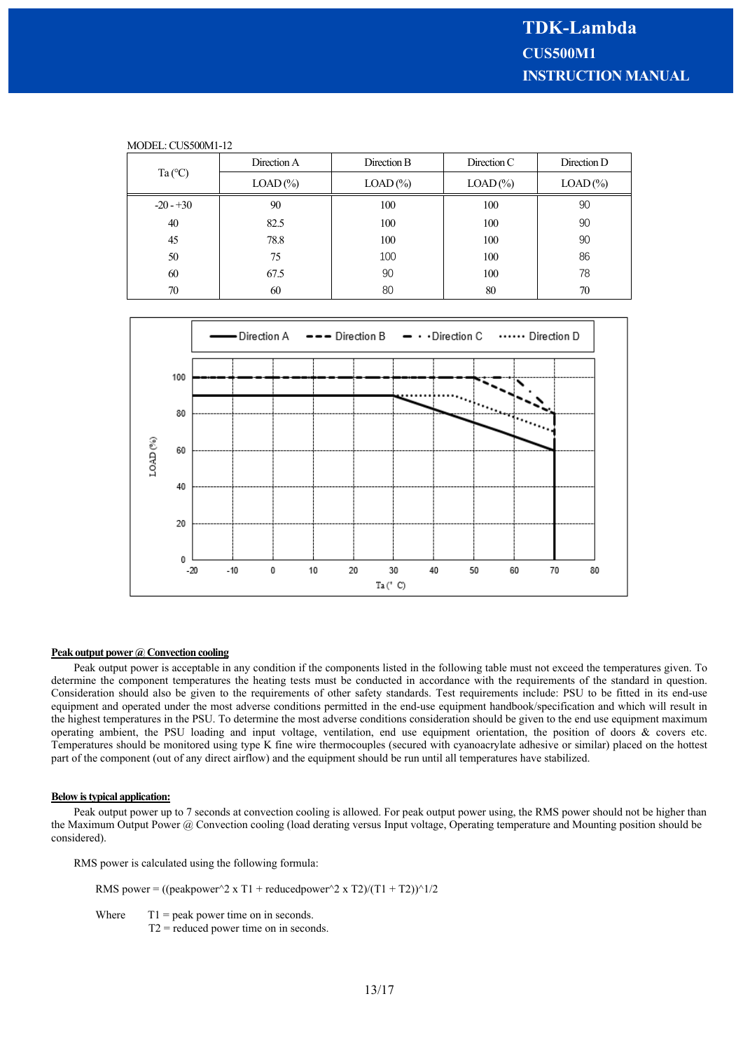| MODEL: CUS500M1-12 |             |             |               |             |  |
|--------------------|-------------|-------------|---------------|-------------|--|
| Ta $(^{\circ}C)$   | Direction A | Direction B | Direction $C$ | Direction D |  |
|                    | $LOAD$ (%)  | $LOAD$ (%)  | $LOAD$ (%)    | $LOAD$ (%)  |  |
| $-20 - 30$         | 90          | 100         | 100           | 90          |  |
| 40                 | 82.5        | 100         | 100           | 90          |  |
| 45                 | 78.8        | 100         | 100           | 90          |  |
| 50                 | 75          | 100         | 100           | 86          |  |
| 60                 | 67.5        | 90          | 100           | 78          |  |
| 70                 | 60          | 80          | 80            | 70          |  |



#### **Peak output power @ Convection cooling**

Peak output power is acceptable in any condition if the components listed in the following table must not exceed the temperatures given. To determine the component temperatures the heating tests must be conducted in accordance with the requirements of the standard in question. Consideration should also be given to the requirements of other safety standards. Test requirements include: PSU to be fitted in its end-use equipment and operated under the most adverse conditions permitted in the end-use equipment handbook/specification and which will result in the highest temperatures in the PSU. To determine the most adverse conditions consideration should be given to the end use equipment maximum operating ambient, the PSU loading and input voltage, ventilation, end use equipment orientation, the position of doors & covers etc. Temperatures should be monitored using type K fine wire thermocouples (secured with cyanoacrylate adhesive or similar) placed on the hottest part of the component (out of any direct airflow) and the equipment should be run until all temperatures have stabilized.

#### **Below is typical application:**

Peak output power up to 7 seconds at convection cooling is allowed. For peak output power using, the RMS power should not be higher than the Maximum Output Power @ Convection cooling (load derating versus Input voltage, Operating temperature and Mounting position should be considered).

RMS power is calculated using the following formula:

RMS power = ((peakpower^2 x T1 + reducedpower^2 x T2)/(T1 + T2))^1/2

Where  $T1 = peak power time on in seconds.$ 

T2 = reduced power time on in seconds.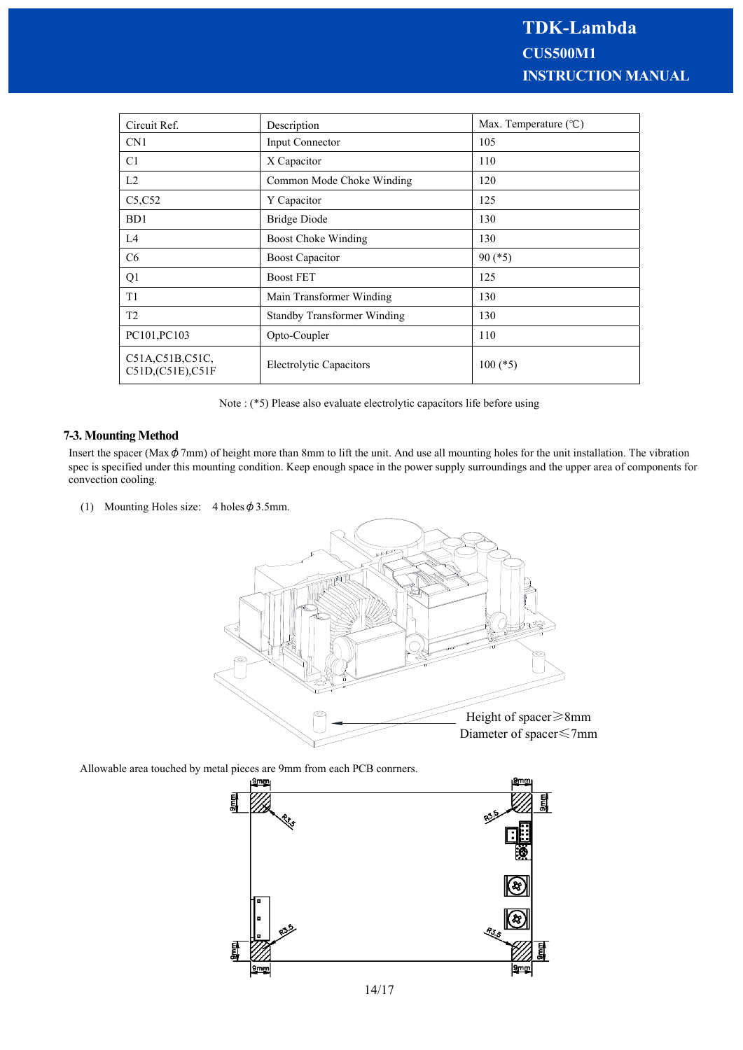| Circuit Ref.                          | Description                        | Max. Temperature $(^{\circ}C)$ |
|---------------------------------------|------------------------------------|--------------------------------|
| CN <sub>1</sub>                       | Input Connector                    | 105                            |
| C1                                    | X Capacitor                        | 110                            |
| L2                                    | Common Mode Choke Winding          | 120                            |
| C5, C52                               | Y Capacitor                        | 125                            |
| B <sub>D</sub> 1                      | <b>Bridge Diode</b>                | 130                            |
| L4                                    | Boost Choke Winding                | 130                            |
| C <sub>6</sub>                        | <b>Boost Capacitor</b>             | $90 (*5)$                      |
| Q1                                    | <b>Boost FET</b>                   | 125                            |
| T <sub>1</sub>                        | Main Transformer Winding           | 130                            |
| T2                                    | <b>Standby Transformer Winding</b> | 130                            |
| PC101, PC103                          | Opto-Coupler                       | 110                            |
| C51A, C51B, C51C,<br>C51D,(C51E),C51F | <b>Electrolytic Capacitors</b>     | $100$ (*5)                     |

Note : (\*5) Please also evaluate electrolytic capacitors life before using

#### **7-3. Mounting Method**

Insert the spacer (Max $\phi$ 7mm) of height more than 8mm to lift the unit. And use all mounting holes for the unit installation. The vibration spec is specified under this mounting condition. Keep enough space in the power supply surroundings and the upper area of components for convection cooling.

(1) Mounting Holes size:  $4$  holes  $\phi$  3.5mm.



Allowable area touched by metal pieces are 9mm from each PCB conrners.

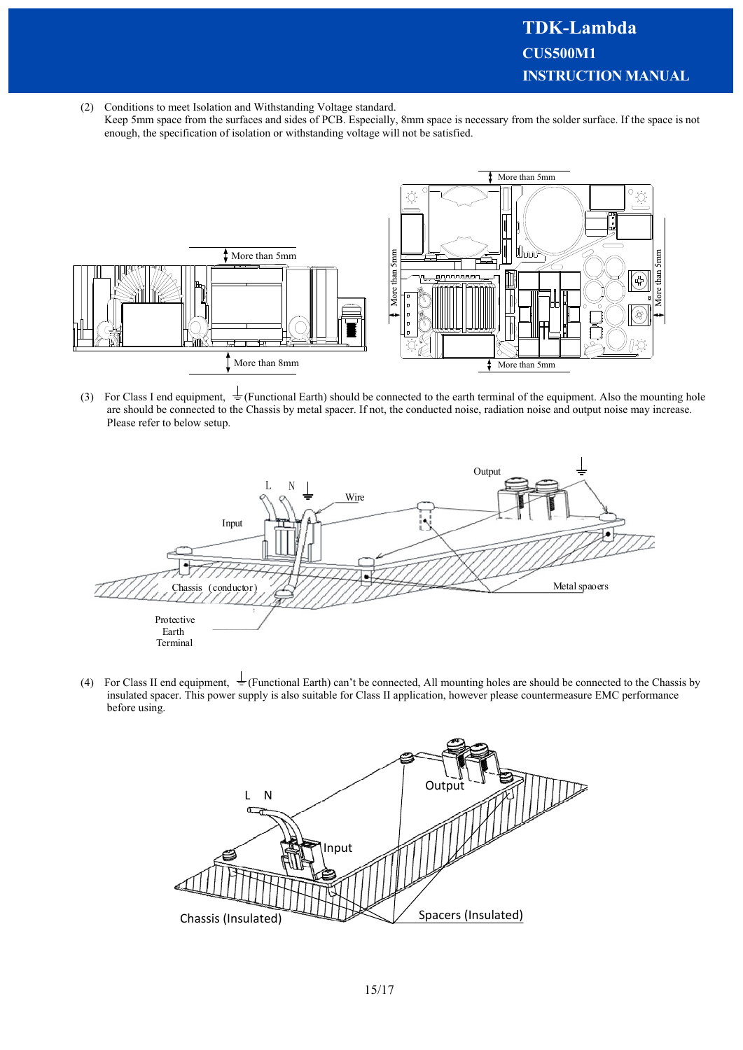(2) Conditions to meet Isolation and Withstanding Voltage standard.

Keep 5mm space from the surfaces and sides of PCB. Especially, 8mm space is necessary from the solder surface. If the space is not enough, the specification of isolation or withstanding voltage will not be satisfied.



(3) For Class I end equipment,  $\frac{1}{2}$  (Functional Earth) should be connected to the earth terminal of the equipment. Also the mounting hole are should be connected to the Chassis by metal spacer. If not, the conducted noise, radiation noise and output noise may increase. Please refer to below setup.



(4) For Class II end equipment,  $\pm$  (Functional Earth) can't be connected, All mounting holes are should be connected to the Chassis by insulated spacer. This power supply is also suitable for Class II application, however please countermeasure EMC performance before using.

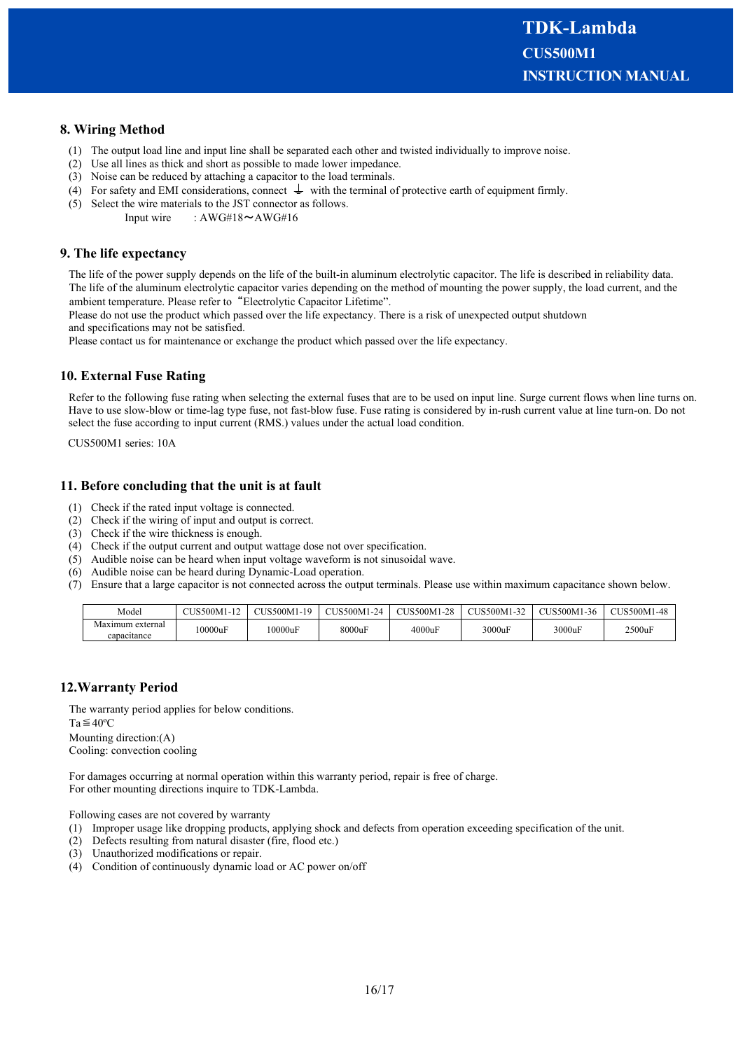# **8. Wiring Method**

- (1) The output load line and input line shall be separated each other and twisted individually to improve noise.
- (2) Use all lines as thick and short as possible to made lower impedance.
- (3) Noise can be reduced by attaching a capacitor to the load terminals.
- (4) For safety and EMI considerations, connect  $\perp$  with the terminal of protective earth of equipment firmly.
- (5) Select the wire materials to the JST connector as follows.
	- Input wire :  $AWG#18 \sim AWG#16$

### **9. The life expectancy**

The life of the power supply depends on the life of the built-in aluminum electrolytic capacitor. The life is described in reliability data. The life of the aluminum electrolytic capacitor varies depending on the method of mounting the power supply, the load current, and the ambient temperature. Please refer to "Electrolytic Capacitor Lifetime".

Please do not use the product which passed over the life expectancy. There is a risk of unexpected output shutdown and specifications may not be satisfied.

Please contact us for maintenance or exchange the product which passed over the life expectancy.

#### **10. External Fuse Rating**

Refer to the following fuse rating when selecting the external fuses that are to be used on input line. Surge current flows when line turns on. Have to use slow-blow or time-lag type fuse, not fast-blow fuse. Fuse rating is considered by in-rush current value at line turn-on. Do not select the fuse according to input current (RMS.) values under the actual load condition.

CUS500M1 series: 10A

#### **11. Before concluding that the unit is at fault**

- (1) Check if the rated input voltage is connected.
- (2) Check if the wiring of input and output is correct.
- (3) Check if the wire thickness is enough.
- (4) Check if the output current and output wattage dose not over specification.
- (5) Audible noise can be heard when input voltage waveform is not sinusoidal wave.
- (6) Audible noise can be heard during Dynamic-Load operation.
- (7) Ensure that a large capacitor is not connected across the output terminals. Please use within maximum capacitance shown below.

| Model                           | $\text{TISS}00\text{M}1\text{-}1.$ | CUS500M1-19 | <b>CUS500M1-24</b> | CUS500M1-28 | CUS500M1-32 | CUS500M1-36 | CUS500M1-48 |
|---------------------------------|------------------------------------|-------------|--------------------|-------------|-------------|-------------|-------------|
| Maxımum external<br>capacitance | 10000uF                            | 10000uF     | 8000uF             | 4000uF      | 3000uF      | 3000uF      | 2500uF      |

#### **12.Warranty Period**

The warranty period applies for below conditions.  $Ta \leq 40^{\circ}C$ Mounting direction:(A) Cooling: convection cooling

For damages occurring at normal operation within this warranty period, repair is free of charge. For other mounting directions inquire to TDK-Lambda.

Following cases are not covered by warranty

- (1) Improper usage like dropping products, applying shock and defects from operation exceeding specification of the unit.
- (2) Defects resulting from natural disaster (fire, flood etc.)
- (3) Unauthorized modifications or repair.
- (4) Condition of continuously dynamic load or AC power on/off